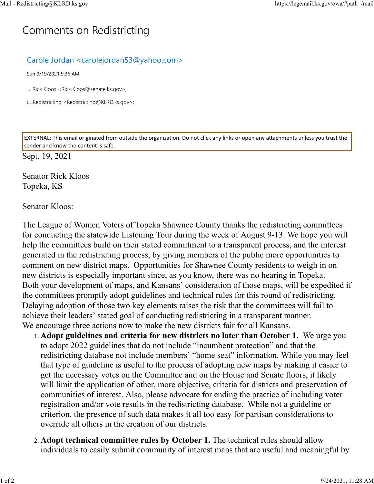## C[omm](https://legemail.ks.gov/owa/#path=/mail)ents on Redistricting

## Carole Jordan <carolejordan53@yahoo.com>

Sun 9/19/2021 9:36 AM

To:Rick Kloos <Rick.Kloos@senate.ks.gov>;

Cc:Redistricting <Redistricting@KLRD.ks.gov>;

EXTERNAL: This email originated from outside the organization. Do not click any links or open any attachments unless you trust the sender and know the content is safe.

Sept. 19, 2021

Senator Rick Kloos Topeka, KS

## Senator Kloos:

The League of Women Voters of Topeka Shawnee County thanks the redistricting committees for conducting the statewide Listening Tour during the week of August 9-13. We hope you will help the committees build on their stated commitment to a transparent process, and the interest generated in the redistricting process, by giving members of the public more opportunities to comment on new district maps. Opportunities for Shawnee County residents to weigh in on new districts is especially important since, as you know, there was no hearing in Topeka. Both your development of maps, and Kansans' consideration of those maps, will be expedited if the committees promptly adopt guidelines and technical rules for this round of redistricting. Delaying adoption of those two key elements raises the risk that the committees will fail to achieve their leaders' stated goal of conducting redistricting in a transparent manner. We encourage three actions now to make the new districts fair for all Kansans.

- 1. **Adopt guidelines and criteria for new districts no later than October 1.** We urge you to adopt 2022 guidelines that do not include "incumbent protection" and that the redistricting database not include members' "home seat" information. While you may feel that type of guideline is useful to the process of adopting new maps by making it easier to get the necessary votes on the Committee and on the House and Senate floors, it likely will limit the application of other, more objective, criteria for districts and preservation of communities of interest. Also, please advocate for ending the practice of including voter registration and/or vote results in the redistricting database. While not a guideline or criterion, the presence of such data makes it all too easy for partisan considerations to override all others in the creation of our districts.
- 2. **Adopt technical committee rules by October 1.** The technical rules should allow individuals to easily submit community of interest maps that are useful and meaningful by